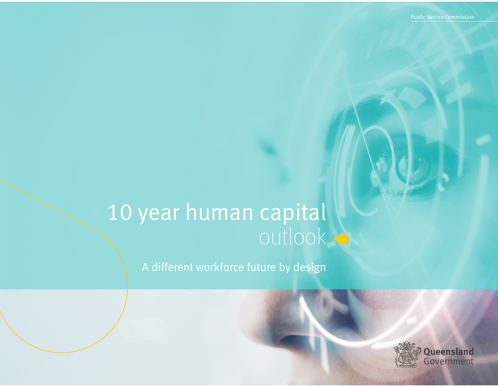# 10 year human capital outlook

A different workforce future by design

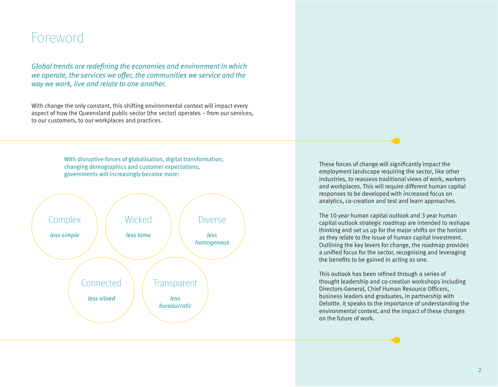### Foreword

*Global trends are redefining the economies and environment in which we operate, the services we offer, the communities we service and the way we work, live and relate to one another.*

With change the only constant, this shifting environmental context will impact every aspect of how the Queensland public sector (the sector) operates – from our services, to our customers, to our workplaces and practices.

> With disruptive forces of globalisation, digital transformation, changing demographics and customer expectations, governments will increasingly become more:



These forces of change will significantly impact the employment landscape requiring the sector, like other industries, to reassess traditional views of work, workers and workplaces. This will require different human capital responses to be developed with increased focus on analytics, co-creation and test and learn approaches.

The 10 year human capital outlook and 3 year human capital outlook strategic roadmap are intended to reshape thinking and set us up for the major shifts on the horizon as they relate to the issue of human capital investment. Outlining the key levers for change, the roadmap provides a unified focus for the sector, recognising and leveraging the benefits to be gained in acting as one.

This outlook has been refined through a series of thought leadership and co-creation workshops including Directors-General, Chief Human Resource Officers, business leaders and graduates, in partnership with Deloitte. It speaks to the importance of understanding the environmental context, and the impact of these changes on the future of work.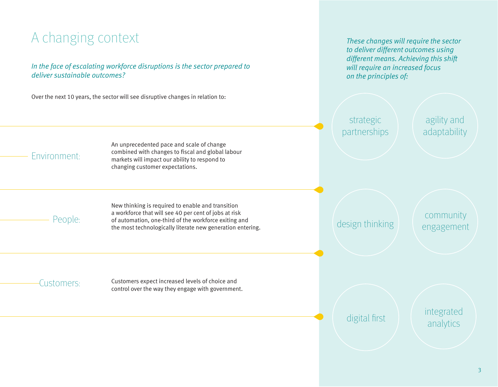## A changing context

#### *In the face of escalating workforce disruptions is the sector prepared to deliver sustainable outcomes?*

Over the next 10 years, the sector will see disruptive changes in relation to:

*These changes will require the sector to deliver different outcomes using different means. Achieving this shift will require an increased focus on the principles of:*

strategic partnerships

agility and adaptability

### Environment:

An unprecedented pace and scale of change combined with changes to fiscal and global labour markets will impact our ability to respond to changing customer expectations.

People:

New thinking is required to enable and transition a workforce that will see 40 per cent of jobs at risk of automation, one-third of the workforce exiting and the most technologically literate new generation entering.

design thinking

community engagement

Customers: Customers expect increased levels of choice and control over the way they engage with government.

digital first **integrated** analytics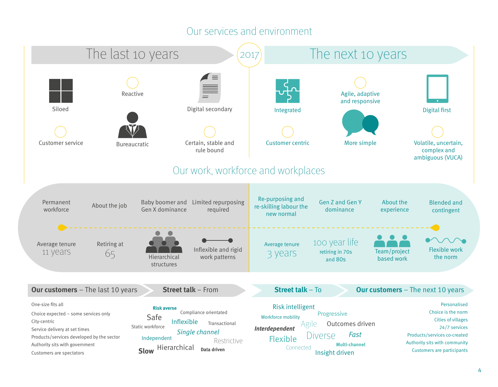### Our services and environment

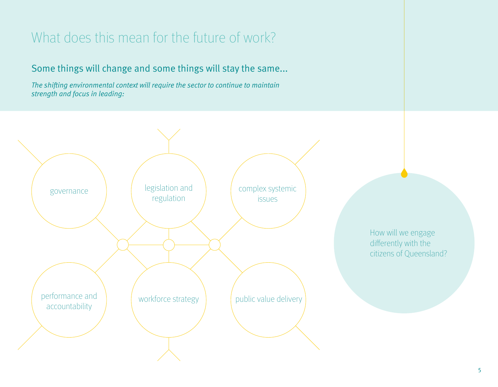## What does this mean for the future of work?

### Some things will change and some things will stay the same...

*The shifting environmental context will require the sector to continue to maintain strength and focus in leading:*

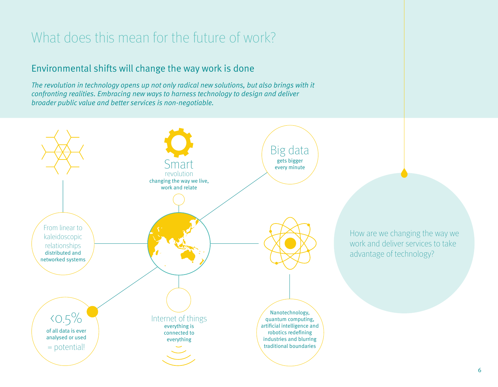## What does this mean for the future of work?

### Environmental shifts will change the way work is done

*The revolution in technology opens up not only radical new solutions, but also brings with it confronting realities. Embracing new ways to harness technology to design and deliver broader public value and better services is non-negotiable.*

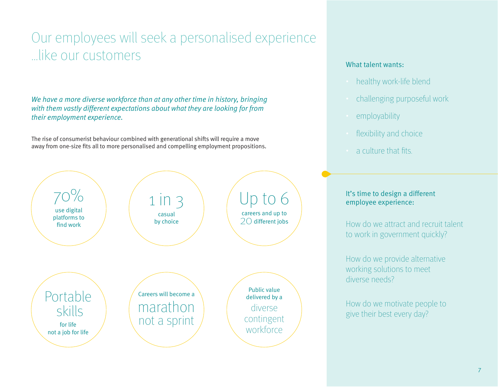## Our employees will seek a personalised experience …like our customers

*We have a more diverse workforce than at any other time in history, bringing with them vastly different expectations about what they are looking for from their employment experience.* 

The rise of consumerist behaviour combined with generational shifts will require a move away from one-size fits all to more personalised and compelling employment propositions.



#### What talent wants:

- healthy work-life blend
- challenging purposeful work
- employability
- flexibility and choice
- a culture that fits.

#### It's time to design a different employee experience:

How do we attract and recruit talent to work in government quickly?

How do we provide alternative working solutions to meet diverse needs?

How do we motivate people to give their best every day?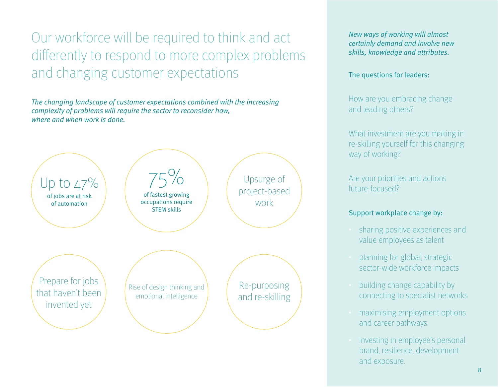Our workforce will be required to think and act differently to respond to more complex problems and changing customer expectations

*The changing landscape of customer expectations combined with the increasing complexity of problems will require the sector to reconsider how, where and when work is done.* 



*New ways of working will almost certainly demand and involve new skills, knowledge and attributes.*

The questions for leaders:

How are you embracing change and leading others?

What investment are you making in re-skilling yourself for this changing way of working?

Are your priorities and actions future-focused?

#### Support workplace change by:

- sharing positive experiences and value employees as talent
- planning for global, strategic sector-wide workforce impacts
- building change capability by connecting to specialist networks
- maximising employment options and career pathways
- investing in employee's personal brand, resilience, development and exposure.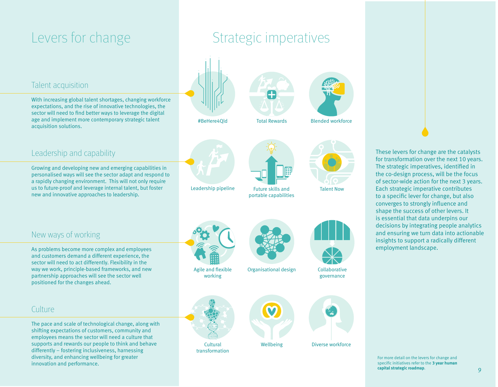## Levers for change

#### Talent acquisition

With increasing global talent shortages, changing workforce expectations, and the rise of innovative technologies, the sector will need to find better ways to leverage the digital age and implement more contemporary strategic talent acquisition solutions.

Growing and developing new and emerging capabilities in personalised ways will see the sector adapt and respond to a rapidly changing environment. This will not only require us to future-proof and leverage internal talent, but foster

new and innovative approaches to leadership.

## Strategic imperatives







Blended workforce





Wellbeing

M

Future skills and portable capabilities



Talent Now



Organisational design Collaborative governance



Diverse workforce

These levers for change are the catalysts for transformation over the next 10 years. The strategic imperatives, identified in the co-design process, will be the focus of sector-wide action for the next 3 years. Each strategic imperative contributes to a specific lever for change, but also converges to strongly influence and shape the success of other levers. It is essential that data underpins our decisions by integrating people analytics and ensuring we turn data into actionable insights to support a radically different employment landscape.

### New ways of working

Leadership and capability

As problems become more complex and employees and customers demand a different experience, the sector will need to act differently. Flexibility in the way we work, principle-based frameworks, and new partnership approaches will see the sector well positioned for the changes ahead.

#### Culture

The pace and scale of technological change, along with shifting expectations of customers, community and employees means the sector will need a culture that supports and rewards our people to think and behave differently – fostering inclusiveness, harnessing diversity, and enhancing wellbeing for greater innovation and performance.





Agile and flexible working



transformation

For more detail on the levers for change and specific initiatives refer to the **3 year human capital strategic roadmap**.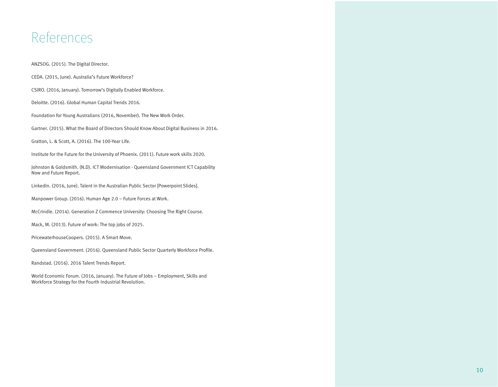### References

ANZSOG. (2015). The Digital Director.

CEDA. (2015, June). Australia's Future Workforce?

CSIRO. (2016, January). Tomorrow's Digitally Enabled Workforce.

Deloitte. (2016). Global Human Capital Trends 2016.

Foundation for Young Australians (2016, November). The New Work Order.

Gartner. (2015). What the Board of Directors Should Know About Digital Business in 2016.

Gratton, L. & Scott, A. (2016). The 100-Year Life.

Institute for the Future for the University of Phoenix. (2011). Future work skills 2020.

Johnston & Goldsmith. (N.D). ICT Modernisation - Queensland Government ICT Capability Now and Future Report.

LinkedIn. (2016, June). Talent in the Australian Public Sector [Powerpoint Slides].

Manpower Group. (2016). Human Age 2.0 – Future Forces at Work.

McCrindle. (2014). Generation Z Commence University: Choosing The Right Course.

Mack, M. (2013). Future of work: The top jobs of 2025.

PricewaterhouseCoopers. (2015). A Smart Move.

Queensland Government. (2016). Queensland Public Sector Quarterly Workforce Profile.

Randstad. (2016). 2016 Talent Trends Report.

World Economic Forum. (2016, January). The Future of Jobs – Employment, Skills and Workforce Strategy for the Fourth Industrial Revolution.